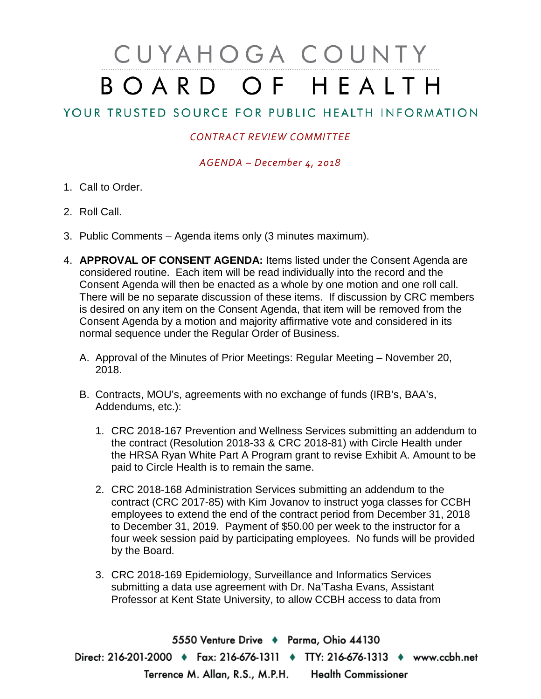## CUYAHOGA COUNTY BOARD OF HEALTH

## YOUR TRUSTED SOURCE FOR PUBLIC HEALTH INFORMATION

## *CONTRACT REVIEW COMMITTEE*

*AGENDA – December 4, 2018*

- 1. Call to Order.
- 2. Roll Call.
- 3. Public Comments Agenda items only (3 minutes maximum).
- 4. **APPROVAL OF CONSENT AGENDA:** Items listed under the Consent Agenda are considered routine. Each item will be read individually into the record and the Consent Agenda will then be enacted as a whole by one motion and one roll call. There will be no separate discussion of these items. If discussion by CRC members is desired on any item on the Consent Agenda, that item will be removed from the Consent Agenda by a motion and majority affirmative vote and considered in its normal sequence under the Regular Order of Business.
	- A. Approval of the Minutes of Prior Meetings: Regular Meeting November 20, 2018.
	- B. Contracts, MOU's, agreements with no exchange of funds (IRB's, BAA's, Addendums, etc.):
		- 1. CRC 2018-167 Prevention and Wellness Services submitting an addendum to the contract (Resolution 2018-33 & CRC 2018-81) with Circle Health under the HRSA Ryan White Part A Program grant to revise Exhibit A. Amount to be paid to Circle Health is to remain the same.
		- 2. CRC 2018-168 Administration Services submitting an addendum to the contract (CRC 2017-85) with Kim Jovanov to instruct yoga classes for CCBH employees to extend the end of the contract period from December 31, 2018 to December 31, 2019. Payment of \$50.00 per week to the instructor for a four week session paid by participating employees. No funds will be provided by the Board.
		- 3. CRC 2018-169 Epidemiology, Surveillance and Informatics Services submitting a data use agreement with Dr. Na'Tasha Evans, Assistant Professor at Kent State University, to allow CCBH access to data from

5550 Venture Drive + Parma, Ohio 44130 Direct: 216-201-2000 • Fax: 216-676-1311 • TTY: 216-676-1313 • www.ccbh.net Terrence M. Allan, R.S., M.P.H. Health Commissioner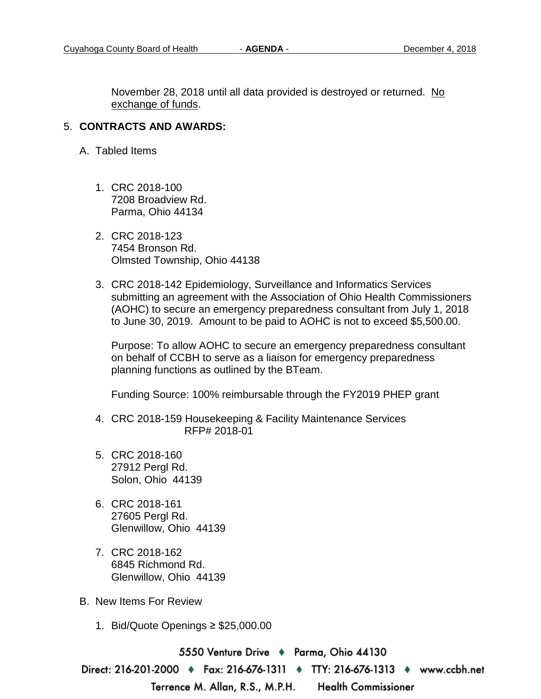November 28, 2018 until all data provided is destroyed or returned. No exchange of funds.

## 5. **CONTRACTS AND AWARDS:**

- A. Tabled Items
	- 1. CRC 2018-100 7208 Broadview Rd. Parma, Ohio 44134
	- 2. CRC 2018-123 7454 Bronson Rd. Olmsted Township, Ohio 44138
	- 3. CRC 2018-142 Epidemiology, Surveillance and Informatics Services submitting an agreement with the Association of Ohio Health Commissioners (AOHC) to secure an emergency preparedness consultant from July 1, 2018 to June 30, 2019. Amount to be paid to AOHC is not to exceed \$5,500.00.

Purpose: To allow AOHC to secure an emergency preparedness consultant on behalf of CCBH to serve as a liaison for emergency preparedness planning functions as outlined by the BTeam.

Funding Source: 100% reimbursable through the FY2019 PHEP grant

- 4. CRC 2018-159 Housekeeping & Facility Maintenance Services RFP# 2018-01
- 5. CRC 2018-160 27912 Pergl Rd. Solon, Ohio 44139
- 6. CRC 2018-161 27605 Pergl Rd. Glenwillow, Ohio 44139
- 7. CRC 2018-162 6845 Richmond Rd. Glenwillow, Ohio 44139
- B. New Items For Review
	- 1. Bid/Quote Openings ≥ \$25,000.00

5550 Venture Drive → Parma, Ohio 44130

Direct: 216-201-2000 ♦ Fax: 216-676-1311 ♦ TTY: 216-676-1313 ♦ www.ccbh.net

Terrence M. Allan, R.S., M.P.H.

**Health Commissioner**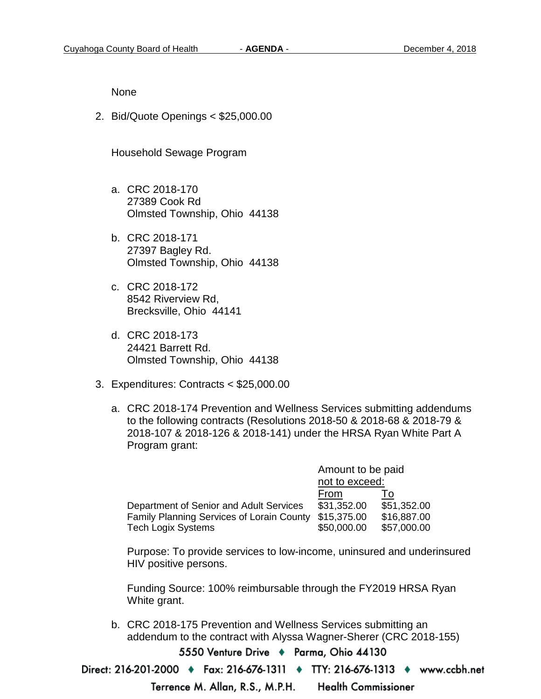None

2. Bid/Quote Openings < \$25,000.00

Household Sewage Program

- a. CRC 2018-170 27389 Cook Rd Olmsted Township, Ohio 44138
- b. CRC 2018-171 27397 Bagley Rd. Olmsted Township, Ohio 44138
- c. CRC 2018-172 8542 Riverview Rd, Brecksville, Ohio 44141
- d. CRC 2018-173 24421 Barrett Rd. Olmsted Township, Ohio 44138
- 3. Expenditures: Contracts < \$25,000.00
	- a. CRC 2018-174 Prevention and Wellness Services submitting addendums to the following contracts (Resolutions 2018-50 & 2018-68 & 2018-79 & 2018-107 & 2018-126 & 2018-141) under the HRSA Ryan White Part A Program grant:

|                                                  | Amount to be paid |             |
|--------------------------------------------------|-------------------|-------------|
|                                                  | not to exceed:    |             |
|                                                  | From              | l o         |
| Department of Senior and Adult Services          | \$31,352.00       | \$51,352.00 |
| <b>Family Planning Services of Lorain County</b> | \$15,375.00       | \$16,887.00 |
| <b>Tech Logix Systems</b>                        | \$50,000.00       | \$57,000.00 |

Purpose: To provide services to low-income, uninsured and underinsured HIV positive persons.

Funding Source: 100% reimbursable through the FY2019 HRSA Ryan White grant.

b. CRC 2018-175 Prevention and Wellness Services submitting an addendum to the contract with Alyssa Wagner-Sherer (CRC 2018-155)

5550 Venture Drive → Parma, Ohio 44130

Direct: 216-201-2000 ♦ Fax: 216-676-1311 ♦ TTY: 216-676-1313 ♦ www.ccbh.net

Terrence M. Allan, R.S., M.P.H. **Health Commissioner**